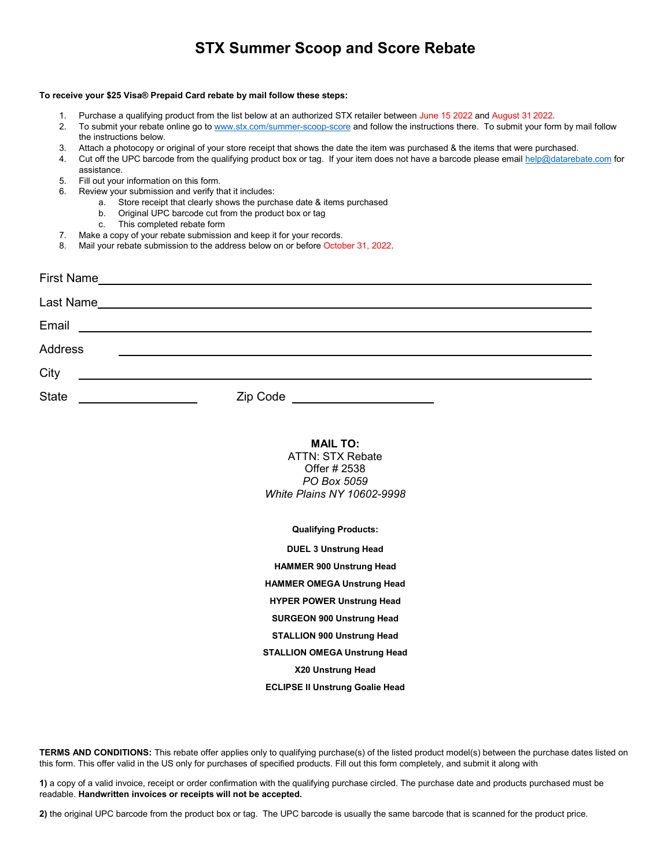# **STX Summer Scoop and Score Rebate**

### **To receive your \$25 Visa® Prepaid Card rebate by mail follow these steps:**

- Purchase a qualifying product from the list below at an authorized STX retailer between June 15 2022 and August 31 2022.
- 2. To submit your rebate online go to [www.stx.com/summer-scoop-score](http://www.stx.com/summer-scoop-score) and follow the instructions there. To submit your form by mail follow the instructions below.
- 3. Attach a photocopy or original of your store receipt that shows the date the item was purchased & the items that were purchased.
- 4. Cut off the UPC barcode from the qualifying product box or tag. If your item does not have a barcode please emai[l help@datarebate.com](mailto:help@datarebate.com) for assistance.
- 5. Fill out your information on this form.
- 6. Review your submission and verify that it includes:
	- a. Store receipt that clearly shows the purchase date & items purchased
	- b. Original UPC barcode cut from the product box or tag
		- c. This completed rebate form
- 7. Make a copy of your rebate submission and keep it for your records.
- 8. Mail your rebate submission to the address below on or before October 31, 2022.

| <b>First Name</b> | <u> 1989 - Johann John Stein, markin film ar yn y brenin y brenin y brenin y brenin y brenin y brenin y brenin y</u>  |
|-------------------|-----------------------------------------------------------------------------------------------------------------------|
| Last Name         | <u> 1989 - Jan Sarajević, politički politički politički kapetac († 1908)</u>                                          |
| Email             | <u> 1989 - Johann Stoff, deutscher Stoff, der Stoff, der Stoff, der Stoff, der Stoff, der Stoff, der Stoff, der S</u> |
| Address           |                                                                                                                       |
| City              |                                                                                                                       |
| <b>State</b>      | <b>Zip Code Example 20</b>                                                                                            |

## **MAIL TO:**

ATTN: STX Rebate Offer # 2538 *PO Box 5059 White Plains NY 10602-9998*

**Qualifying Products:**

**DUEL 3 Unstrung Head HAMMER 900 Unstrung Head HAMMER OMEGA Unstrung Head HYPER POWER Unstrung Head SURGEON 900 Unstrung Head STALLION 900 Unstrung Head**

## **STALLION OMEGA Unstrung Head**

**X20 Unstrung Head**

## **ECLIPSE II Unstrung Goalie Head**

**TERMS AND CONDITIONS:** This rebate offer applies only to qualifying purchase(s) of the listed product model(s) between the purchase dates listed on this form. This offer valid in the US only for purchases of specified products. Fill out this form completely, and submit it along with

**1)** a copy of a valid invoice, receipt or order confirmation with the qualifying purchase circled. The purchase date and products purchased must be readable. **Handwritten invoices or receipts will not be accepted.**

**2)** the original UPC barcode from the product box or tag. The UPC barcode is usually the same barcode that is scanned for the product price.